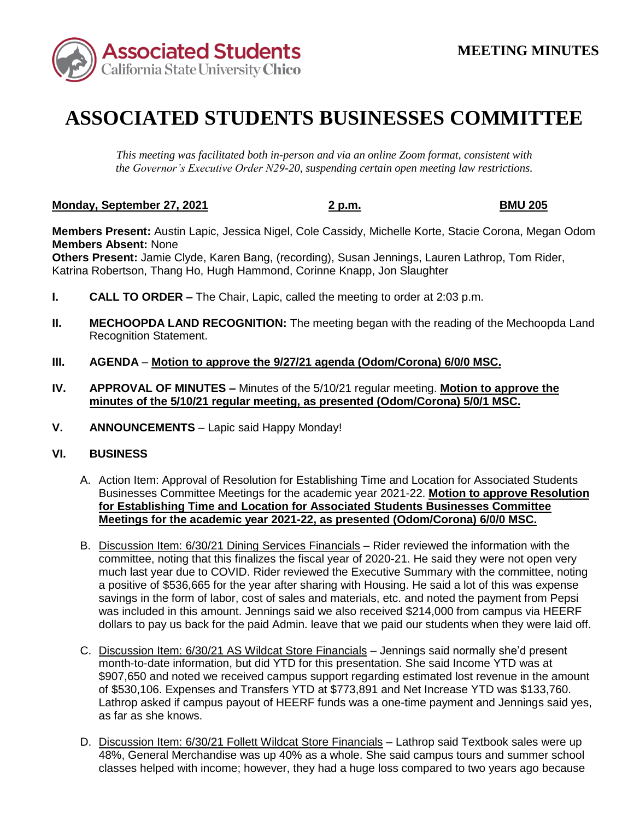

## **ASSOCIATED STUDENTS BUSINESSES COMMITTEE**

*This meeting was facilitated both in-person and via an online Zoom format, consistent with the Governor's Executive Order N29-20, suspending certain open meeting law restrictions.* 

## **Monday, September 27, 2021 2 p.m. BMU 205**

 **Members Present:** Austin Lapic, Jessica Nigel, Cole Cassidy, Michelle Korte, Stacie Corona, Megan Odom **Members Absent:** None

 Katrina Robertson, Thang Ho, Hugh Hammond, Corinne Knapp, Jon Slaughter **Others Present:** Jamie Clyde, Karen Bang, (recording), Susan Jennings, Lauren Lathrop, Tom Rider,

- **I.** CALL TO ORDER The Chair, Lapic, called the meeting to order at 2:03 p.m.
- **II. MECHOOPDA LAND RECOGNITION:** The meeting began with the reading of the Mechoopda Land Recognition Statement.
- **III. AGENDA Motion to approve the 9/27/21 agenda (Odom/Corona) 6/0/0 MSC.**
- **IV. APPROVAL OF MINUTES –** Minutes of the 5/10/21 regular meeting. **Motion to approve the minutes of the 5/10/21 regular meeting, as presented (Odom/Corona) 5/0/1 MSC.**
- **V. ANNOUNCEMENTS**  Lapic said Happy Monday!

## **VI. BUSINESS**

- A. Action Item: Approval of Resolution for Establishing Time and Location for Associated Students Businesses Committee Meetings for the academic year 2021-22. **Motion to approve Resolution for Establishing Time and Location for Associated Students Businesses Committee Meetings for the academic year 2021-22, as presented (Odom/Corona) 6/0/0 MSC.**
- B. Discussion Item: 6/30/21 Dining Services Financials Rider reviewed the information with the committee, noting that this finalizes the fiscal year of 2020-21. He said they were not open very much last year due to COVID. Rider reviewed the Executive Summary with the committee, noting a positive of \$536,665 for the year after sharing with Housing. He said a lot of this was expense savings in the form of labor, cost of sales and materials, etc. and noted the payment from Pepsi was included in this amount. Jennings said we also received \$214,000 from campus via HEERF dollars to pay us back for the paid Admin. leave that we paid our students when they were laid off.
- C. Discussion Item: 6/30/21 AS Wildcat Store Financials Jennings said normally she'd present month-to-date information, but did YTD for this presentation. She said Income YTD was at \$907,650 and noted we received campus support regarding estimated lost revenue in the amount of \$530,106. Expenses and Transfers YTD at \$773,891 and Net Increase YTD was \$133,760. Lathrop asked if campus payout of HEERF funds was a one-time payment and Jennings said yes, as far as she knows.
- D. Discussion Item: 6/30/21 Follett Wildcat Store Financials Lathrop said Textbook sales were up classes helped with income; however, they had a huge loss compared to two years ago because 48%, General Merchandise was up 40% as a whole. She said campus tours and summer school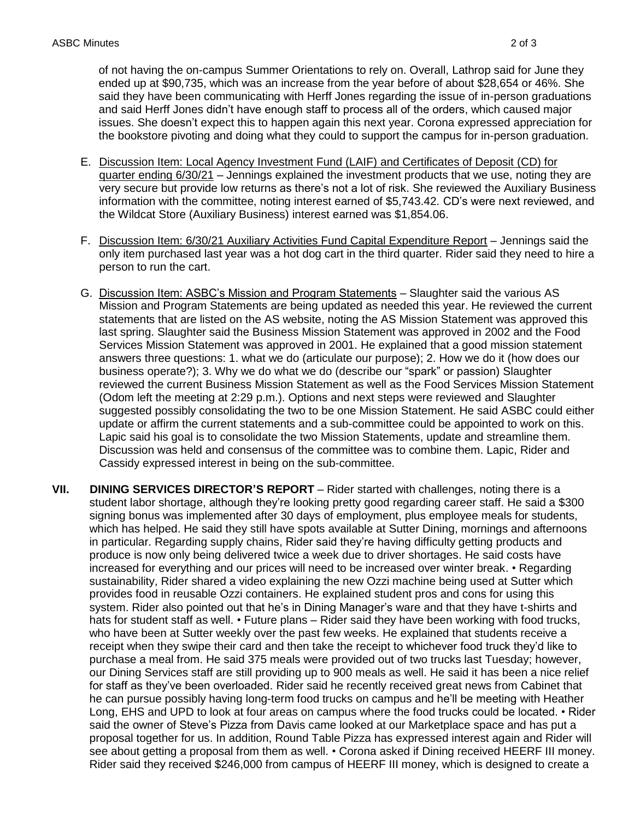of not having the on-campus Summer Orientations to rely on. Overall, Lathrop said for June they ended up at \$90,735, which was an increase from the year before of about \$28,654 or 46%. She said they have been communicating with Herff Jones regarding the issue of in-person graduations and said Herff Jones didn't have enough staff to process all of the orders, which caused major issues. She doesn't expect this to happen again this next year. Corona expressed appreciation for the bookstore pivoting and doing what they could to support the campus for in-person graduation.

- E. Discussion Item: Local Agency Investment Fund (LAIF) and Certificates of Deposit (CD) for quarter ending 6/30/21 – Jennings explained the investment products that we use, noting they are very secure but provide low returns as there's not a lot of risk. She reviewed the Auxiliary Business information with the committee, noting interest earned of \$[5,743.42.](https://5,743.42) CD's were next reviewed, and the Wildcat Store (Auxiliary Business) interest earned was [\\$1,854.06](https://1,854.06).
- F. Discussion Item: 6/30/21 Auxiliary Activities Fund Capital Expenditure Report Jennings said the only item purchased last year was a hot dog cart in the third quarter. Rider said they need to hire a person to run the cart.
- G. Discussion Item: ASBC's Mission and Program Statements Slaughter said the various AS Mission and Program Statements are being updated as needed this year. He reviewed the current statements that are listed on the AS website, noting the AS Mission Statement was approved this Services Mission Statement was approved in 2001. He explained that a good mission statement answers three questions: 1. what we do (articulate our purpose); 2. How we do it (how does our business operate?); 3. Why we do what we do (describe our "spark" or passion) Slaughter reviewed the current Business Mission Statement as well as the Food Services Mission Statement (Odom left the meeting at 2:29 p.m.). Options and next steps were reviewed and Slaughter suggested possibly consolidating the two to be one Mission Statement. He said ASBC could either update or affirm the current statements and a sub-committee could be appointed to work on this. Lapic said his goal is to consolidate the two Mission Statements, update and streamline them. Discussion was held and consensus of the committee was to combine them. Lapic, Rider and Cassidy expressed interest in being on the sub-committee. last spring. Slaughter said the Business Mission Statement was approved in 2002 and the Food
- student labor shortage, although they're looking pretty good regarding career staff. He said a \$300 signing bonus was implemented after 30 days of employment, plus employee meals for students, which has helped. He said they still have spots available at Sutter Dining, mornings and afternoons in particular. Regarding supply chains, Rider said they're having difficulty getting products and produce is now only being delivered twice a week due to driver shortages. He said costs have increased for everything and our prices will need to be increased over winter break. • Regarding sustainability, Rider shared a video explaining the new Ozzi machine being used at Sutter which provides food in reusable Ozzi containers. He explained student pros and cons for using this system. Rider also pointed out that he's in Dining Manager's ware and that they have t-shirts and hats for student staff as well. • Future plans – Rider said they have been working with food trucks, who have been at Sutter weekly over the past few weeks. He explained that students receive a receipt when they swipe their card and then take the receipt to whichever food truck they'd like to purchase a meal from. He said 375 meals were provided out of two trucks last Tuesday; however, our Dining Services staff are still providing up to 900 meals as well. He said it has been a nice relief for staff as they've been overloaded. Rider said he recently received great news from Cabinet that he can pursue possibly having long-term food trucks on campus and he'll be meeting with Heather Long, EHS and UPD to look at four areas on campus where the food trucks could be located. • Rider said the owner of Steve's Pizza from Davis came looked at our Marketplace space and has put a proposal together for us. In addition, Round Table Pizza has expressed interest again and Rider will see about getting a proposal from them as well. • Corona asked if Dining received HEERF III money. Rider said they received \$246,000 from campus of HEERF III money, which is designed to create a **VII.** DINING SERVICES DIRECTOR'S REPORT – Rider started with challenges, noting there is a